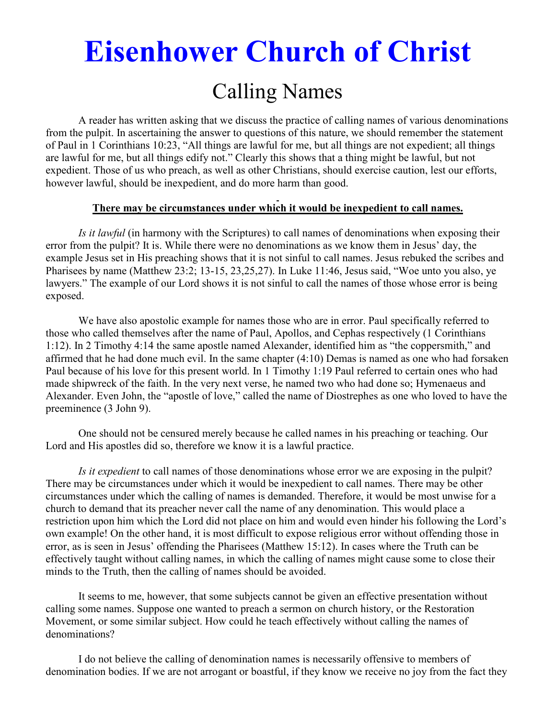# **Eisenhower Church of Christ**  Calling Names

 A reader has written asking that we discuss the practice of calling names of various denominations from the pulpit. In ascertaining the answer to questions of this nature, we should remember the statement of Paul in 1 Corinthians 10:23, "All things are lawful for me, but all things are not expedient; all things are lawful for me, but all things edify not." Clearly this shows that a thing might be lawful, but not expedient. Those of us who preach, as well as other Christians, should exercise caution, lest our efforts, however lawful, should be inexpedient, and do more harm than good.

#### **There may be circumstances under which it would be inexpedient to call names.**

*Is it lawful* (in harmony with the Scriptures) to call names of denominations when exposing their error from the pulpit? It is. While there were no denominations as we know them in Jesus' day, the example Jesus set in His preaching shows that it is not sinful to call names. Jesus rebuked the scribes and Pharisees by name (Matthew 23:2; 13-15, 23,25,27). In Luke 11:46, Jesus said, "Woe unto you also, ye lawyers." The example of our Lord shows it is not sinful to call the names of those whose error is being exposed.

We have also apostolic example for names those who are in error. Paul specifically referred to those who called themselves after the name of Paul, Apollos, and Cephas respectively (1 Corinthians 1:12). In 2 Timothy 4:14 the same apostle named Alexander, identified him as "the coppersmith," and affirmed that he had done much evil. In the same chapter (4:10) Demas is named as one who had forsaken Paul because of his love for this present world. In 1 Timothy 1:19 Paul referred to certain ones who had made shipwreck of the faith. In the very next verse, he named two who had done so; Hymenaeus and Alexander. Even John, the "apostle of love," called the name of Diostrephes as one who loved to have the preeminence (3 John 9).

One should not be censured merely because he called names in his preaching or teaching. Our Lord and His apostles did so, therefore we know it is a lawful practice.

*Is it expedient* to call names of those denominations whose error we are exposing in the pulpit? There may be circumstances under which it would be inexpedient to call names. There may be other circumstances under which the calling of names is demanded. Therefore, it would be most unwise for a church to demand that its preacher never call the name of any denomination. This would place a restriction upon him which the Lord did not place on him and would even hinder his following the Lord's own example! On the other hand, it is most difficult to expose religious error without offending those in error, as is seen in Jesus' offending the Pharisees (Matthew 15:12). In cases where the Truth can be effectively taught without calling names, in which the calling of names might cause some to close their minds to the Truth, then the calling of names should be avoided.

It seems to me, however, that some subjects cannot be given an effective presentation without calling some names. Suppose one wanted to preach a sermon on church history, or the Restoration Movement, or some similar subject. How could he teach effectively without calling the names of denominations?

I do not believe the calling of denomination names is necessarily offensive to members of denomination bodies. If we are not arrogant or boastful, if they know we receive no joy from the fact they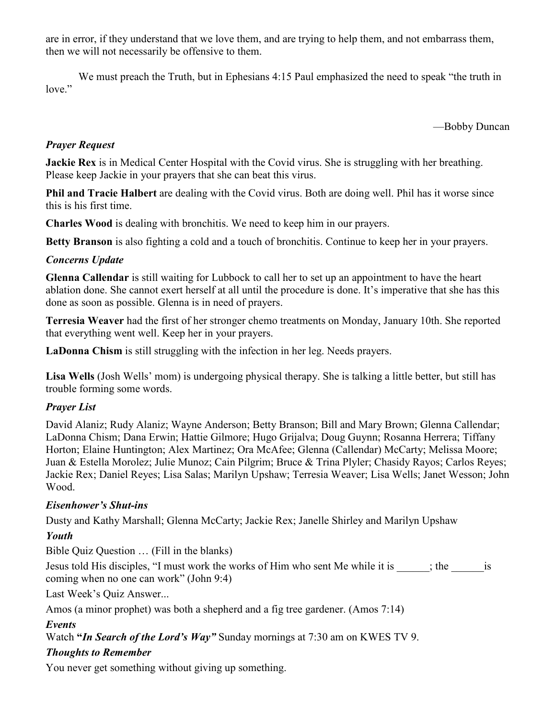are in error, if they understand that we love them, and are trying to help them, and not embarrass them, then we will not necessarily be offensive to them.

We must preach the Truth, but in Ephesians 4:15 Paul emphasized the need to speak "the truth in love."

—Bobby Duncan

# *Prayer Request*

**Jackie Rex** is in Medical Center Hospital with the Covid virus. She is struggling with her breathing. Please keep Jackie in your prayers that she can beat this virus.

**Phil and Tracie Halbert** are dealing with the Covid virus. Both are doing well. Phil has it worse since this is his first time.

**Charles Wood** is dealing with bronchitis. We need to keep him in our prayers.

**Betty Branson** is also fighting a cold and a touch of bronchitis. Continue to keep her in your prayers.

## *Concerns Update*

**Glenna Callendar** is still waiting for Lubbock to call her to set up an appointment to have the heart ablation done. She cannot exert herself at all until the procedure is done. It's imperative that she has this done as soon as possible. Glenna is in need of prayers.

**Terresia Weaver** had the first of her stronger chemo treatments on Monday, January 10th. She reported that everything went well. Keep her in your prayers.

**LaDonna Chism** is still struggling with the infection in her leg. Needs prayers.

**Lisa Wells** (Josh Wells' mom) is undergoing physical therapy. She is talking a little better, but still has trouble forming some words.

## *Prayer List*

David Alaniz; Rudy Alaniz; Wayne Anderson; Betty Branson; Bill and Mary Brown; Glenna Callendar; LaDonna Chism; Dana Erwin; Hattie Gilmore; Hugo Grijalva; Doug Guynn; Rosanna Herrera; Tiffany Horton; Elaine Huntington; Alex Martinez; Ora McAfee; Glenna (Callendar) McCarty; Melissa Moore; Juan & Estella Morolez; Julie Munoz; Cain Pilgrim; Bruce & Trina Plyler; Chasidy Rayos; Carlos Reyes; Jackie Rex; Daniel Reyes; Lisa Salas; Marilyn Upshaw; Terresia Weaver; Lisa Wells; Janet Wesson; John Wood.

## *Eisenhower's Shut-ins*

Dusty and Kathy Marshall; Glenna McCarty; Jackie Rex; Janelle Shirley and Marilyn Upshaw

# *Youth*

Bible Quiz Question … (Fill in the blanks)

Jesus told His disciples, "I must work the works of Him who sent Me while it is  $\qquad$ ; the  $\qquad$  is coming when no one can work" (John 9:4)

Last Week's Quiz Answer...

Amos (a minor prophet) was both a shepherd and a fig tree gardener. (Amos 7:14)

## *Events*

Watch **"***In Search of the Lord's Way"* Sunday mornings at 7:30 am on KWES TV 9.

## *Thoughts to Remember*

You never get something without giving up something.